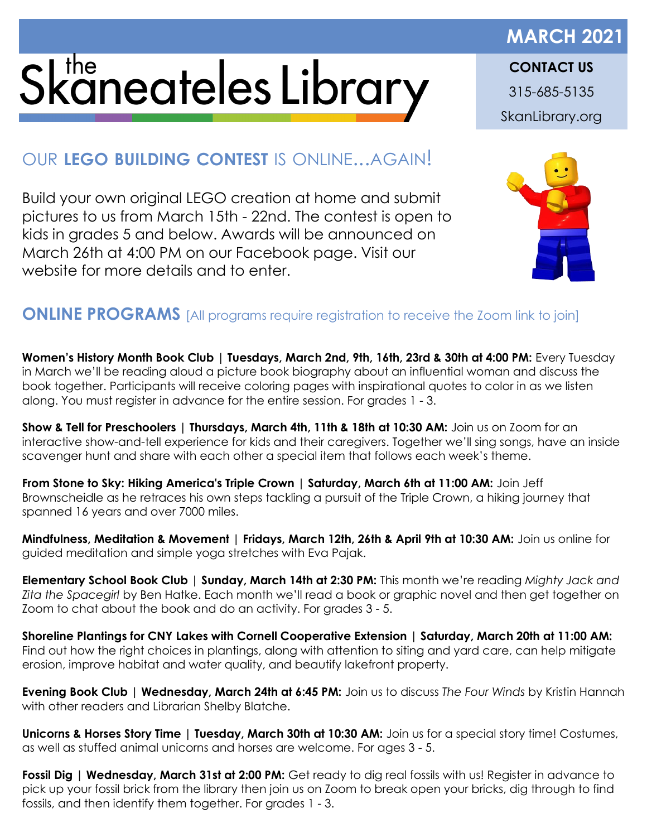## Skaneateles Library

## **MARCH 2021 CONTACT US** 315-685-5135

SkanLibrary.org

## OUR **LEGO BUILDING CONTEST** IS ONLINE...AGAIN!

Build your own original LEGO creation at home and submit pictures to us from March 15th - 22nd. The contest is open to kids in grades 5 and below. Awards will be announced on March 26th at 4:00 PM on our Facebook page. Visit our website for more details and to enter.



## **ONLINE PROGRAMS** [All programs require registration to receive the Zoom link to join]

**Women's History Month Book Club | Tuesdays, March 2nd, 9th, 16th, 23rd & 30th at 4:00 PM:** Every Tuesday in March we'll be reading aloud a picture book biography about an influential woman and discuss the book together. Participants will receive coloring pages with inspirational quotes to color in as we listen along. You must register in advance for the entire session. For grades 1 - 3.

**Show & Tell for Preschoolers | Thursdays, March 4th, 11th & 18th at 10:30 AM:** Join us on Zoom for an interactive show-and-tell experience for kids and their caregivers. Together we'll sing songs, have an inside scavenger hunt and share with each other a special item that follows each week's theme.

**From Stone to Sky: Hiking America's Triple Crown | Saturday, March 6th at 11:00 AM:** Join Jeff Brownscheidle as he retraces his own steps tackling a pursuit of the Triple Crown, a hiking journey that spanned 16 years and over 7000 miles.

**Mindfulness, Meditation & Movement | Fridays, March 12th, 26th & April 9th at 10:30 AM:** Join us online for guided meditation and simple yoga stretches with Eva Pajak.

**Elementary School Book Club | Sunday, March 14th at 2:30 PM:** This month we're reading *Mighty Jack and Zita the Spacegirl* by Ben Hatke. Each month we'll read a book or graphic novel and then get together on Zoom to chat about the book and do an activity. For grades 3 - 5.

**Shoreline Plantings for CNY Lakes with Cornell Cooperative Extension | Saturday, March 20th at 11:00 AM:** Find out how the right choices in plantings, along with attention to siting and yard care, can help mitigate erosion, improve habitat and water quality, and beautify lakefront property.

**Evening Book Club | Wednesday, March 24th at 6:45 PM:** Join us to discuss *The Four Winds* by Kristin Hannah with other readers and Librarian Shelby Blatche.

**Unicorns & Horses Story Time | Tuesday, March 30th at 10:30 AM:** Join us for a special story time! Costumes, as well as stuffed animal unicorns and horses are welcome. For ages 3 - 5.

**Fossil Dig | Wednesday, March 31st at 2:00 PM:** Get ready to dig real fossils with us! Register in advance to pick up your fossil brick from the library then join us on Zoom to break open your bricks, dig through to find fossils, and then identify them together. For grades 1 - 3.